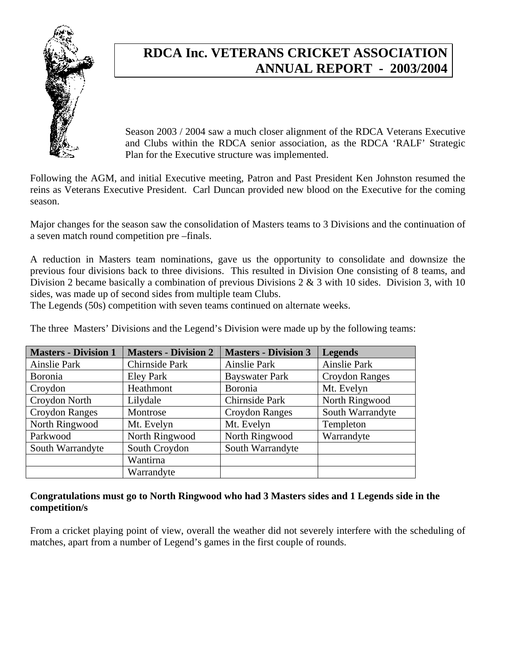

## **RDCA Inc. VETERANS CRICKET ASSOCIATION ANNUAL REPORT - 2003/2004**

Season 2003 / 2004 saw a much closer alignment of the RDCA Veterans Executive and Clubs within the RDCA senior association, as the RDCA 'RALF' Strategic Plan for the Executive structure was implemented.

Following the AGM, and initial Executive meeting, Patron and Past President Ken Johnston resumed the reins as Veterans Executive President. Carl Duncan provided new blood on the Executive for the coming season.

Major changes for the season saw the consolidation of Masters teams to 3 Divisions and the continuation of a seven match round competition pre –finals.

A reduction in Masters team nominations, gave us the opportunity to consolidate and downsize the previous four divisions back to three divisions. This resulted in Division One consisting of 8 teams, and Division 2 became basically a combination of previous Divisions 2 & 3 with 10 sides. Division 3, with 10 sides, was made up of second sides from multiple team Clubs.

The Legends (50s) competition with seven teams continued on alternate weeks.

The three Masters' Divisions and the Legend's Division were made up by the following teams:

| <b>Masters - Division 1</b> | <b>Masters - Division 2</b> | <b>Masters - Division 3</b> | <b>Legends</b>        |
|-----------------------------|-----------------------------|-----------------------------|-----------------------|
| Ainslie Park                | Chirnside Park              | Ainslie Park                | Ainslie Park          |
| Boronia                     | <b>Eley Park</b>            | <b>Bayswater Park</b>       | <b>Croydon Ranges</b> |
| Croydon                     | Heathmont                   | Boronia                     | Mt. Evelyn            |
| Croydon North               | Lilydale                    | Chirnside Park              | North Ringwood        |
| <b>Croydon Ranges</b>       | Montrose                    | Croydon Ranges              | South Warrandyte      |
| North Ringwood              | Mt. Evelyn                  | Mt. Evelyn                  | Templeton             |
| Parkwood                    | North Ringwood              | North Ringwood              | Warrandyte            |
| South Warrandyte            | South Croydon               | South Warrandyte            |                       |
|                             | Wantirna                    |                             |                       |
|                             | Warrandyte                  |                             |                       |

#### **Congratulations must go to North Ringwood who had 3 Masters sides and 1 Legends side in the competition/s**

From a cricket playing point of view, overall the weather did not severely interfere with the scheduling of matches, apart from a number of Legend's games in the first couple of rounds.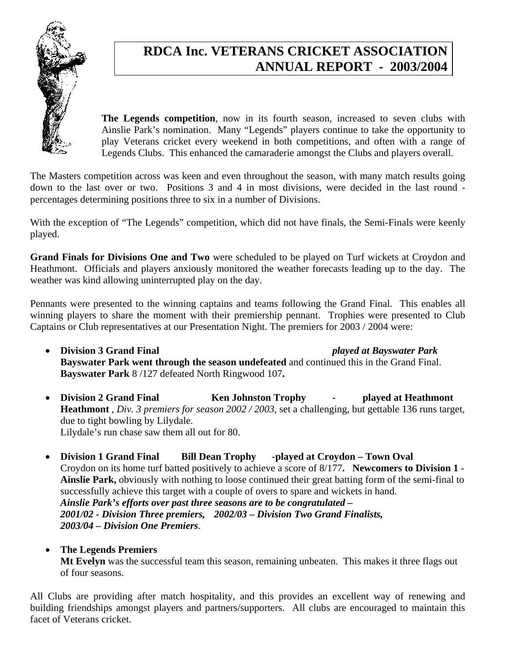

# **RDCA Inc. VETERANS CRICKET ASSOCIATION ANNUAL REPORT - 2003/2004**

**The Legends competition**, now in its fourth season, increased to seven clubs with Ainslie Park's nomination. Many "Legends" players continue to take the opportunity to play Veterans cricket every weekend in both competitions, and often with a range of Legends Clubs. This enhanced the camaraderie amongst the Clubs and players overall.

The Masters competition across was keen and even throughout the season, with many match results going down to the last over or two. Positions 3 and 4 in most divisions, were decided in the last round percentages determining positions three to six in a number of Divisions.

With the exception of "The Legends" competition, which did not have finals, the Semi-Finals were keenly played.

**Grand Finals for Divisions One and Two** were scheduled to be played on Turf wickets at Croydon and Heathmont. Officials and players anxiously monitored the weather forecasts leading up to the day. The weather was kind allowing uninterrupted play on the day.

Pennants were presented to the winning captains and teams following the Grand Final. This enables all winning players to share the moment with their premiership pennant. Trophies were presented to Club Captains or Club representatives at our Presentation Night. The premiers for 2003 / 2004 were:

- **Division 3 Grand Final** *played at Bayswater Park* **Bayswater Park went through the season undefeated** and continued this in the Grand Final. **Bayswater Park** 8 /127 defeated North Ringwood 107**.**
- **Division 2 Grand Final Ken Johnston Trophy played at Heathmont Heathmont** , *Div. 3 premiers for season 2002 / 2003*, set a challenging, but gettable 136 runs target, due to tight bowling by Lilydale. Lilydale's run chase saw them all out for 80.
- **Division 1 Grand Final Bill Dean Trophy -played at Croydon Town Oval**  Croydon on its home turf batted positively to achieve a score of 8/177**. Newcomers to Division 1 - Ainslie Park,** obviously with nothing to loose continued their great batting form of the semi-final to successfully achieve this target with a couple of overs to spare and wickets in hand. *Ainslie Park's efforts over past three seasons are to be congratulated – 2001/02 - Division Three premiers, 2002/03 – Division Two Grand Finalists, 2003/04 – Division One Premiers*.

#### • **The Legends Premiers**

**Mt Evelyn** was the successful team this season, remaining unbeaten. This makes it three flags out of four seasons.

All Clubs are providing after match hospitality, and this provides an excellent way of renewing and building friendships amongst players and partners/supporters. All clubs are encouraged to maintain this facet of Veterans cricket.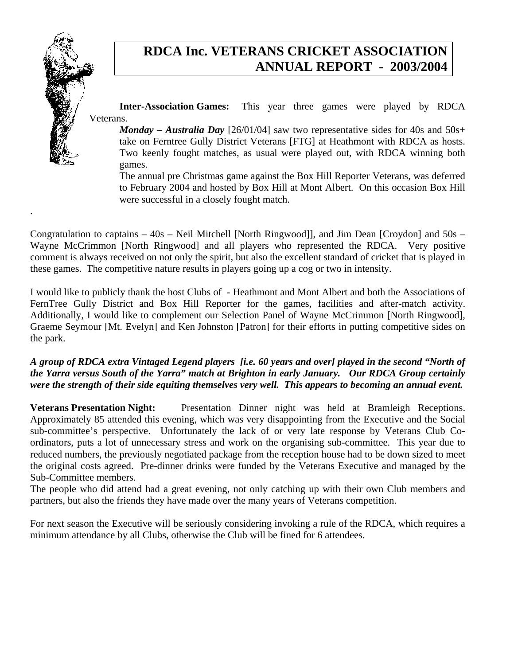

.

## **RDCA Inc. VETERANS CRICKET ASSOCIATION ANNUAL REPORT - 2003/2004**

**Inter-Association Games:** This year three games were played by RDCA Veterans.

*Monday – Australia Day* [26/01/04] saw two representative sides for 40s and 50s+ take on Ferntree Gully District Veterans [FTG] at Heathmont with RDCA as hosts. Two keenly fought matches, as usual were played out, with RDCA winning both games.

The annual pre Christmas game against the Box Hill Reporter Veterans, was deferred to February 2004 and hosted by Box Hill at Mont Albert. On this occasion Box Hill were successful in a closely fought match.

Congratulation to captains – 40s – Neil Mitchell [North Ringwood]], and Jim Dean [Croydon] and 50s – Wayne McCrimmon [North Ringwood] and all players who represented the RDCA. Very positive comment is always received on not only the spirit, but also the excellent standard of cricket that is played in these games. The competitive nature results in players going up a cog or two in intensity.

I would like to publicly thank the host Clubs of - Heathmont and Mont Albert and both the Associations of FernTree Gully District and Box Hill Reporter for the games, facilities and after-match activity. Additionally, I would like to complement our Selection Panel of Wayne McCrimmon [North Ringwood], Graeme Seymour [Mt. Evelyn] and Ken Johnston [Patron] for their efforts in putting competitive sides on the park.

#### *A group of RDCA extra Vintaged Legend players [i.e. 60 years and over] played in the second "North of the Yarra versus South of the Yarra" match at Brighton in early January. Our RDCA Group certainly were the strength of their side equiting themselves very well. This appears to becoming an annual event.*

Veterans Presentation Night: Presentation Dinner night was held at Bramleigh Receptions. Approximately 85 attended this evening, which was very disappointing from the Executive and the Social sub-committee's perspective. Unfortunately the lack of or very late response by Veterans Club Coordinators, puts a lot of unnecessary stress and work on the organising sub-committee. This year due to reduced numbers, the previously negotiated package from the reception house had to be down sized to meet the original costs agreed. Pre-dinner drinks were funded by the Veterans Executive and managed by the Sub-Committee members.

The people who did attend had a great evening, not only catching up with their own Club members and partners, but also the friends they have made over the many years of Veterans competition.

For next season the Executive will be seriously considering invoking a rule of the RDCA, which requires a minimum attendance by all Clubs, otherwise the Club will be fined for 6 attendees.